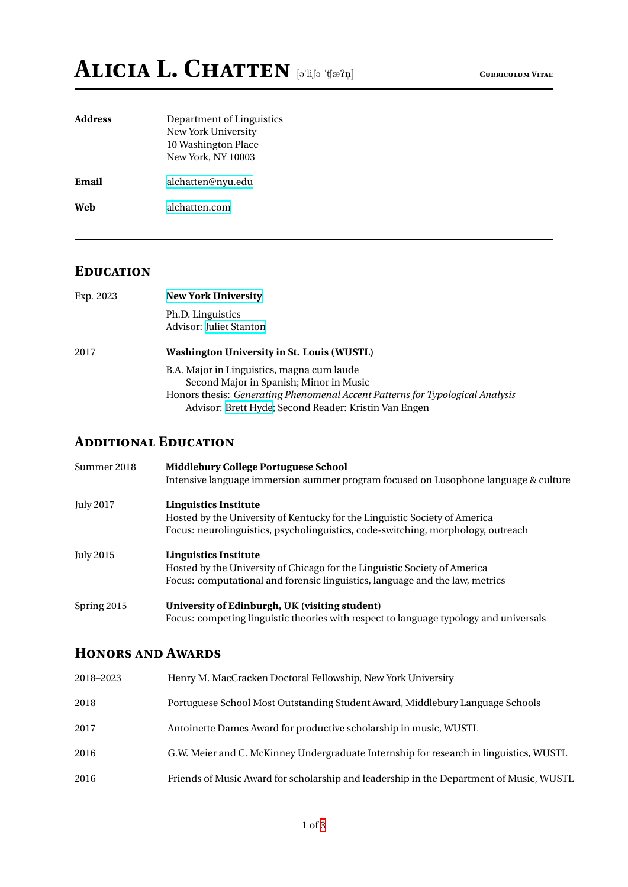| <b>Address</b> | Department of Linguistics<br>New York University<br>10 Washington Place<br>New York, NY 10003 |
|----------------|-----------------------------------------------------------------------------------------------|
| Email          | alchatten@nyu.edu                                                                             |
| Web            | alchatten.com                                                                                 |
|                |                                                                                               |

## **EDUCATION**

| Exp. 2023 | <b>New York University</b>                                                    |  |  |
|-----------|-------------------------------------------------------------------------------|--|--|
|           | Ph.D. Linguistics                                                             |  |  |
|           | Advisor: Juliet Stanton                                                       |  |  |
| 2017      | <b>Washington University in St. Louis (WUSTL)</b>                             |  |  |
|           | B.A. Major in Linguistics, magna cum laude                                    |  |  |
|           | Second Major in Spanish; Minor in Music                                       |  |  |
|           | Honors thesis: Generating Phenomenal Accent Patterns for Typological Analysis |  |  |
|           | Advisor: Brett Hyde; Second Reader: Kristin Van Engen                         |  |  |

#### **ADDITIONAL EDUCATION**

| Summer 2018      | <b>Middlebury College Portuguese School</b><br>Intensive language immersion summer program focused on Lusophone language & culture                                                             |
|------------------|------------------------------------------------------------------------------------------------------------------------------------------------------------------------------------------------|
| <b>July 2017</b> | <b>Linguistics Institute</b><br>Hosted by the University of Kentucky for the Linguistic Society of America<br>Focus: neurolinguistics, psycholinguistics, code-switching, morphology, outreach |
| <b>July 2015</b> | Linguistics Institute<br>Hosted by the University of Chicago for the Linguistic Society of America<br>Focus: computational and forensic linguistics, language and the law, metrics             |
| Spring 2015      | University of Edinburgh, UK (visiting student)<br>Focus: competing linguistic theories with respect to language typology and universals                                                        |

### **HONORS AND AWARDS**

| 2018–2023 | Henry M. MacCracken Doctoral Fellowship, New York University                            |
|-----------|-----------------------------------------------------------------------------------------|
| 2018      | Portuguese School Most Outstanding Student Award, Middlebury Language Schools           |
| 2017      | Antoinette Dames Award for productive scholarship in music, WUSTL                       |
| 2016      | G.W. Meier and C. McKinney Undergraduate Internship for research in linguistics, WUSTL  |
| 2016      | Friends of Music Award for scholarship and leadership in the Department of Music, WUSTL |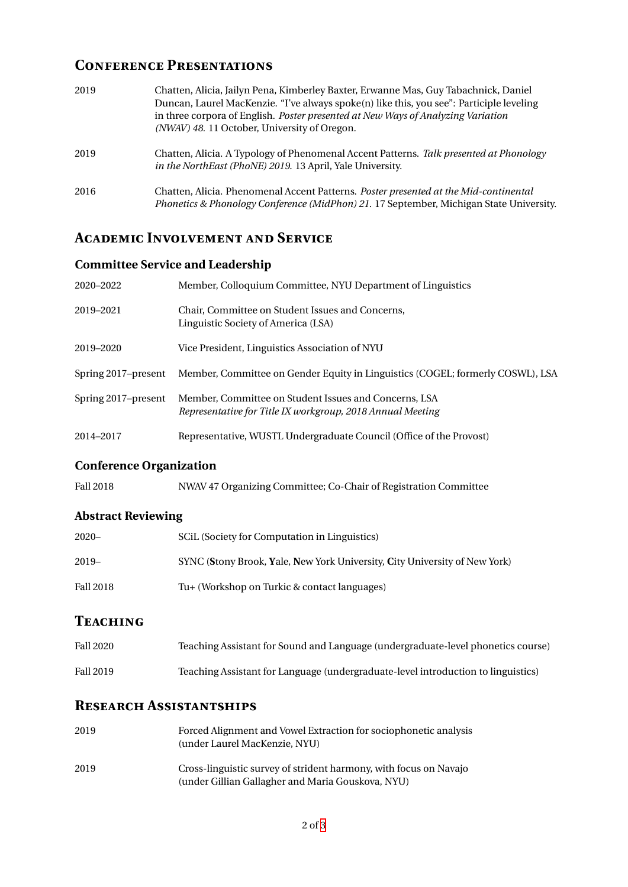## **CONFERENCE PRESENTATIONS**

| 2019 | Chatten, Alicia, Jailyn Pena, Kimberley Baxter, Erwanne Mas, Guy Tabachnick, Daniel<br>Duncan, Laurel MacKenzie. "I've always spoke(n) like this, you see": Participle leveling<br>in three corpora of English. Poster presented at New Ways of Analyzing Variation<br>(NWAV) 48. 11 October, University of Oregon. |
|------|---------------------------------------------------------------------------------------------------------------------------------------------------------------------------------------------------------------------------------------------------------------------------------------------------------------------|
| 2019 | Chatten, Alicia. A Typology of Phenomenal Accent Patterns. Talk presented at Phonology<br>in the NorthEast (PhoNE) 2019. 13 April, Yale University.                                                                                                                                                                 |
| 2016 | Chatten, Alicia. Phenomenal Accent Patterns. Poster presented at the Mid-continental<br>Phonetics & Phonology Conference (MidPhon) 21. 17 September, Michigan State University.                                                                                                                                     |

# **ACADEMIC INVOLVEMENT AND SERVICE**

### **Committee Service and Leadership**

| 2020-2022           | Member, Colloquium Committee, NYU Department of Linguistics                                                         |
|---------------------|---------------------------------------------------------------------------------------------------------------------|
| 2019-2021           | Chair, Committee on Student Issues and Concerns,<br>Linguistic Society of America (LSA)                             |
| 2019-2020           | Vice President, Linguistics Association of NYU                                                                      |
| Spring 2017–present | Member, Committee on Gender Equity in Linguistics (COGEL; formerly COSWL), LSA                                      |
| Spring 2017–present | Member, Committee on Student Issues and Concerns, LSA<br>Representative for Title IX workgroup, 2018 Annual Meeting |
| 2014-2017           | Representative, WUSTL Undergraduate Council (Office of the Provost)                                                 |

#### **Conference Organization**

| Fall 2018 | NWAV 47 Organizing Committee; Co-Chair of Registration Committee |  |  |
|-----------|------------------------------------------------------------------|--|--|
|           |                                                                  |  |  |

## **Abstract Reviewing**

| $2020 -$  | SCIL (Society for Computation in Linguistics)                              |
|-----------|----------------------------------------------------------------------------|
| $2019-$   | SYNC (Stony Brook, Yale, New York University, City University of New York) |
| Fall 2018 | Tu+ (Workshop on Turkic & contact languages)                               |

# **TEACHING**

| <b>Fall 2020</b> | Teaching Assistant for Sound and Language (undergraduate-level phonetics course)  |
|------------------|-----------------------------------------------------------------------------------|
| Fall 2019        | Teaching Assistant for Language (undergraduate-level introduction to linguistics) |

### **RESEARCH ASSISTANTSHIPS**

| 2019 | Forced Alignment and Vowel Extraction for sociophonetic analysis  |
|------|-------------------------------------------------------------------|
|      | (under Laurel MacKenzie, NYU)                                     |
| 2019 | Cross-linguistic survey of strident harmony, with focus on Navajo |
|      | (under Gillian Gallagher and Maria Gouskova, NYU)                 |